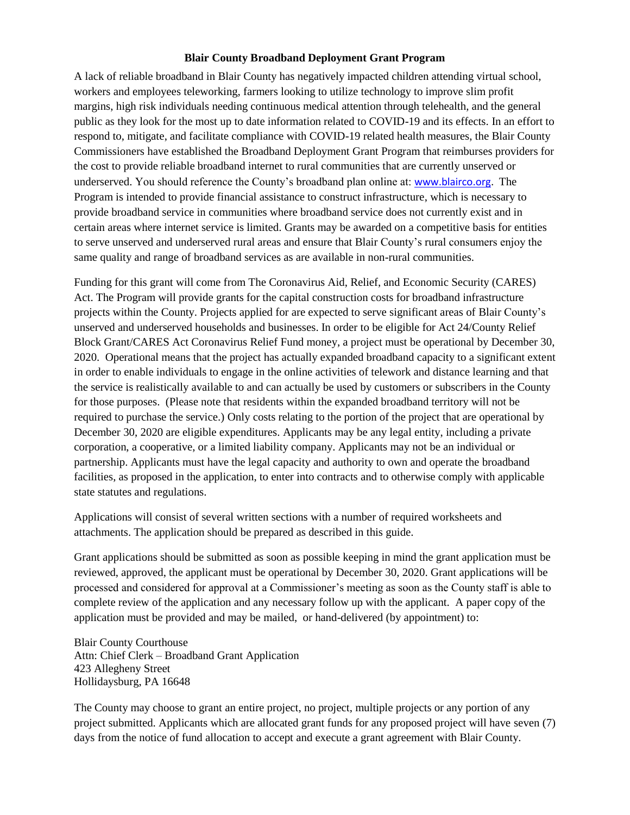#### **Blair County Broadband Deployment Grant Program**

A lack of reliable broadband in Blair County has negatively impacted children attending virtual school, workers and employees teleworking, farmers looking to utilize technology to improve slim profit margins, high risk individuals needing continuous medical attention through telehealth, and the general public as they look for the most up to date information related to COVID-19 and its effects. In an effort to respond to, mitigate, and facilitate compliance with COVID-19 related health measures, the Blair County Commissioners have established the Broadband Deployment Grant Program that reimburses providers for the cost to provide reliable broadband internet to rural communities that are currently unserved or underserved. You should reference the County's broadband plan online at: [www.blairco.org.](http://www.blairco.org/) The Program is intended to provide financial assistance to construct infrastructure, which is necessary to provide broadband service in communities where broadband service does not currently exist and in certain areas where internet service is limited. Grants may be awarded on a competitive basis for entities to serve unserved and underserved rural areas and ensure that Blair County's rural consumers enjoy the same quality and range of broadband services as are available in non-rural communities.

Funding for this grant will come from The Coronavirus Aid, Relief, and Economic Security (CARES) Act. The Program will provide grants for the capital construction costs for broadband infrastructure projects within the County. Projects applied for are expected to serve significant areas of Blair County's unserved and underserved households and businesses. In order to be eligible for Act 24/County Relief Block Grant/CARES Act Coronavirus Relief Fund money, a project must be operational by December 30, 2020. Operational means that the project has actually expanded broadband capacity to a significant extent in order to enable individuals to engage in the online activities of telework and distance learning and that the service is realistically available to and can actually be used by customers or subscribers in the County for those purposes. (Please note that residents within the expanded broadband territory will not be required to purchase the service.) Only costs relating to the portion of the project that are operational by December 30, 2020 are eligible expenditures. Applicants may be any legal entity, including a private corporation, a cooperative, or a limited liability company. Applicants may not be an individual or partnership. Applicants must have the legal capacity and authority to own and operate the broadband facilities, as proposed in the application, to enter into contracts and to otherwise comply with applicable state statutes and regulations.

Applications will consist of several written sections with a number of required worksheets and attachments. The application should be prepared as described in this guide.

Grant applications should be submitted as soon as possible keeping in mind the grant application must be reviewed, approved, the applicant must be operational by December 30, 2020. Grant applications will be processed and considered for approval at a Commissioner's meeting as soon as the County staff is able to complete review of the application and any necessary follow up with the applicant. A paper copy of the application must be provided and may be mailed, or hand-delivered (by appointment) to:

Blair County Courthouse Attn: Chief Clerk – Broadband Grant Application 423 Allegheny Street Hollidaysburg, PA 16648

The County may choose to grant an entire project, no project, multiple projects or any portion of any project submitted. Applicants which are allocated grant funds for any proposed project will have seven (7) days from the notice of fund allocation to accept and execute a grant agreement with Blair County.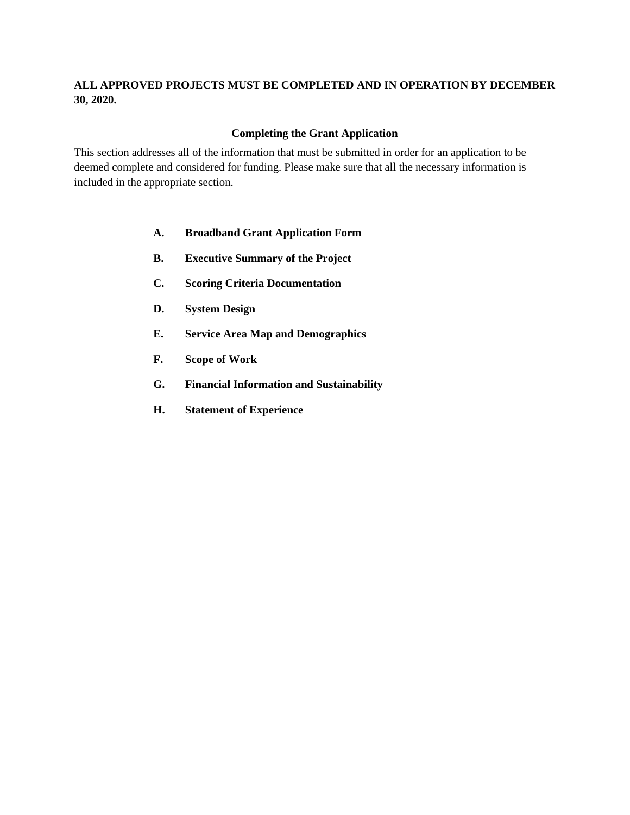### **ALL APPROVED PROJECTS MUST BE COMPLETED AND IN OPERATION BY DECEMBER 30, 2020.**

### **Completing the Grant Application**

This section addresses all of the information that must be submitted in order for an application to be deemed complete and considered for funding. Please make sure that all the necessary information is included in the appropriate section.

- **A. Broadband Grant Application Form**
- **B. Executive Summary of the Project**
- **C. Scoring Criteria Documentation**
- **D. System Design**
- **E. Service Area Map and Demographics**
- **F. Scope of Work**
- **G. Financial Information and Sustainability**
- **H. Statement of Experience**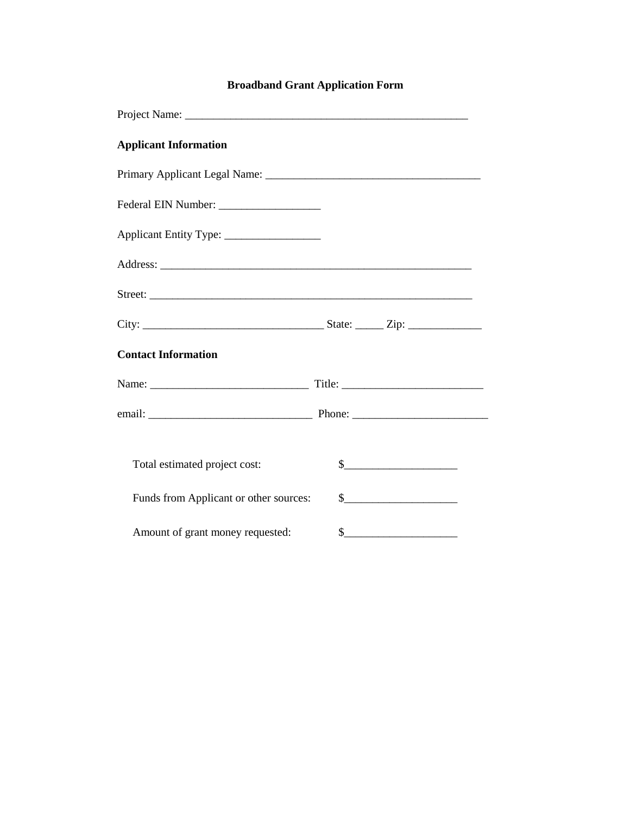# **Broadband Grant Application Form**

| <b>Applicant Information</b>           |                                                                                                                                                                                                                                                                                                                                                                     |
|----------------------------------------|---------------------------------------------------------------------------------------------------------------------------------------------------------------------------------------------------------------------------------------------------------------------------------------------------------------------------------------------------------------------|
|                                        |                                                                                                                                                                                                                                                                                                                                                                     |
|                                        |                                                                                                                                                                                                                                                                                                                                                                     |
|                                        |                                                                                                                                                                                                                                                                                                                                                                     |
|                                        |                                                                                                                                                                                                                                                                                                                                                                     |
|                                        |                                                                                                                                                                                                                                                                                                                                                                     |
|                                        |                                                                                                                                                                                                                                                                                                                                                                     |
| <b>Contact Information</b>             |                                                                                                                                                                                                                                                                                                                                                                     |
|                                        |                                                                                                                                                                                                                                                                                                                                                                     |
|                                        |                                                                                                                                                                                                                                                                                                                                                                     |
| Total estimated project cost:          | $\begin{array}{c c} \n\hline\n\end{array}$                                                                                                                                                                                                                                                                                                                          |
| Funds from Applicant or other sources: | $\begin{picture}(20,10) \put(0,0){\vector(1,0){100}} \put(15,0){\vector(1,0){100}} \put(15,0){\vector(1,0){100}} \put(15,0){\vector(1,0){100}} \put(15,0){\vector(1,0){100}} \put(15,0){\vector(1,0){100}} \put(15,0){\vector(1,0){100}} \put(15,0){\vector(1,0){100}} \put(15,0){\vector(1,0){100}} \put(15,0){\vector(1,0){100}} \put(15,0){\vector(1,0){100}} \$ |
| Amount of grant money requested:       | s                                                                                                                                                                                                                                                                                                                                                                   |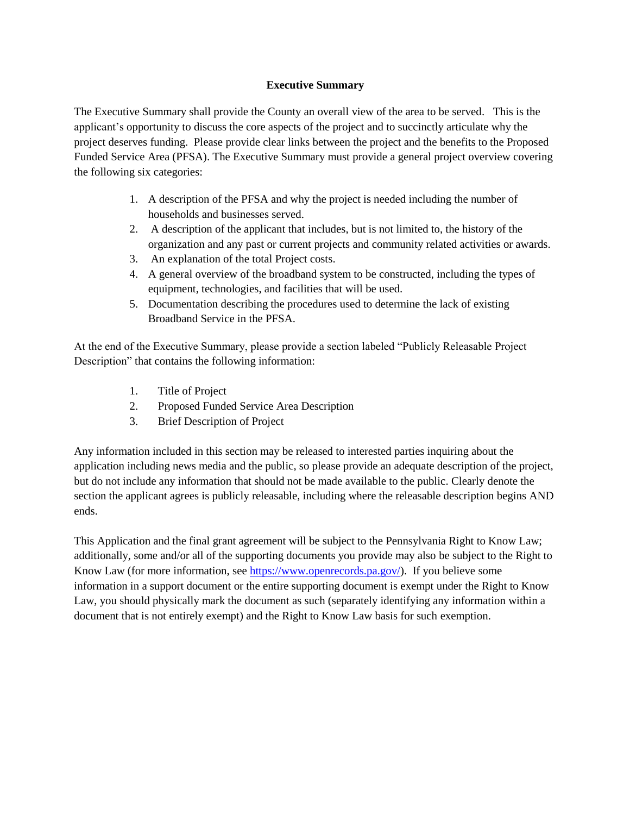### **Executive Summary**

The Executive Summary shall provide the County an overall view of the area to be served. This is the applicant's opportunity to discuss the core aspects of the project and to succinctly articulate why the project deserves funding. Please provide clear links between the project and the benefits to the Proposed Funded Service Area (PFSA). The Executive Summary must provide a general project overview covering the following six categories:

- 1. A description of the PFSA and why the project is needed including the number of households and businesses served.
- 2. A description of the applicant that includes, but is not limited to, the history of the organization and any past or current projects and community related activities or awards.
- 3. An explanation of the total Project costs.
- 4. A general overview of the broadband system to be constructed, including the types of equipment, technologies, and facilities that will be used.
- 5. Documentation describing the procedures used to determine the lack of existing Broadband Service in the PFSA.

At the end of the Executive Summary, please provide a section labeled "Publicly Releasable Project Description" that contains the following information:

- 1. Title of Project
- 2. Proposed Funded Service Area Description
- 3. Brief Description of Project

Any information included in this section may be released to interested parties inquiring about the application including news media and the public, so please provide an adequate description of the project, but do not include any information that should not be made available to the public. Clearly denote the section the applicant agrees is publicly releasable, including where the releasable description begins AND ends.

This Application and the final grant agreement will be subject to the Pennsylvania Right to Know Law; additionally, some and/or all of the supporting documents you provide may also be subject to the Right to Know Law (for more information, see [https://www.openrecords.pa.gov/\)](https://linkprotect.cudasvc.com/url?a=https%3a%2f%2fwww.openrecords.pa.gov%2f&c=E,1,D6g5043j0xWhdxUcpNGInhJjsPbdhlDDAhZekBzG3vVkCIP0VStqg-FIs-UtrjH5dGkrMIwpQ7yhOA7N6LqbDudtZVkK_UQ6yInArKZV8AZxRMPvvk4Sbg,,&typo=1). If you believe some information in a support document or the entire supporting document is exempt under the Right to Know Law, you should physically mark the document as such (separately identifying any information within a document that is not entirely exempt) and the Right to Know Law basis for such exemption.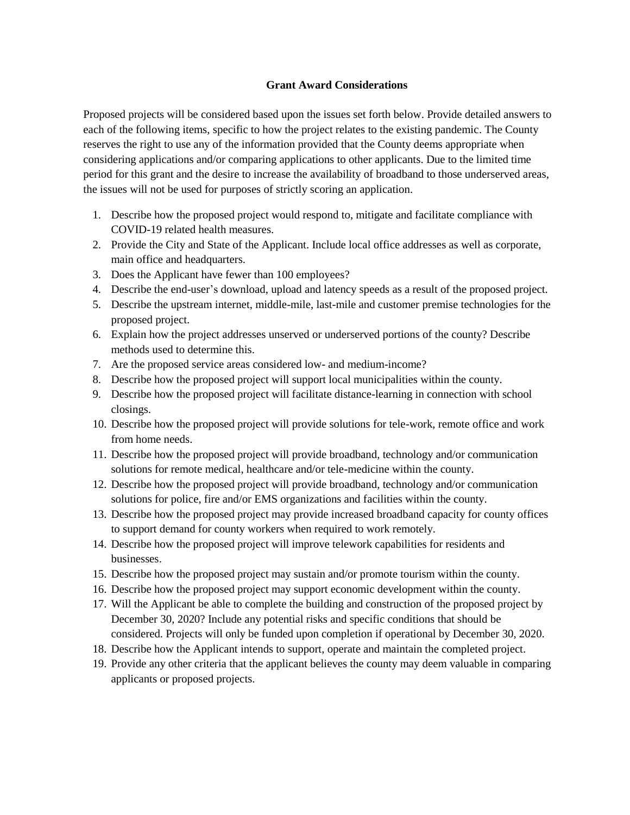### **Grant Award Considerations**

Proposed projects will be considered based upon the issues set forth below. Provide detailed answers to each of the following items, specific to how the project relates to the existing pandemic. The County reserves the right to use any of the information provided that the County deems appropriate when considering applications and/or comparing applications to other applicants. Due to the limited time period for this grant and the desire to increase the availability of broadband to those underserved areas, the issues will not be used for purposes of strictly scoring an application.

- 1. Describe how the proposed project would respond to, mitigate and facilitate compliance with COVID-19 related health measures.
- 2. Provide the City and State of the Applicant. Include local office addresses as well as corporate, main office and headquarters.
- 3. Does the Applicant have fewer than 100 employees?
- 4. Describe the end-user's download, upload and latency speeds as a result of the proposed project.
- 5. Describe the upstream internet, middle-mile, last-mile and customer premise technologies for the proposed project.
- 6. Explain how the project addresses unserved or underserved portions of the county? Describe methods used to determine this.
- 7. Are the proposed service areas considered low- and medium-income?
- 8. Describe how the proposed project will support local municipalities within the county.
- 9. Describe how the proposed project will facilitate distance-learning in connection with school closings.
- 10. Describe how the proposed project will provide solutions for tele-work, remote office and work from home needs.
- 11. Describe how the proposed project will provide broadband, technology and/or communication solutions for remote medical, healthcare and/or tele-medicine within the county.
- 12. Describe how the proposed project will provide broadband, technology and/or communication solutions for police, fire and/or EMS organizations and facilities within the county.
- 13. Describe how the proposed project may provide increased broadband capacity for county offices to support demand for county workers when required to work remotely.
- 14. Describe how the proposed project will improve telework capabilities for residents and businesses.
- 15. Describe how the proposed project may sustain and/or promote tourism within the county.
- 16. Describe how the proposed project may support economic development within the county.
- 17. Will the Applicant be able to complete the building and construction of the proposed project by December 30, 2020? Include any potential risks and specific conditions that should be considered. Projects will only be funded upon completion if operational by December 30, 2020.
- 18. Describe how the Applicant intends to support, operate and maintain the completed project.
- 19. Provide any other criteria that the applicant believes the county may deem valuable in comparing applicants or proposed projects.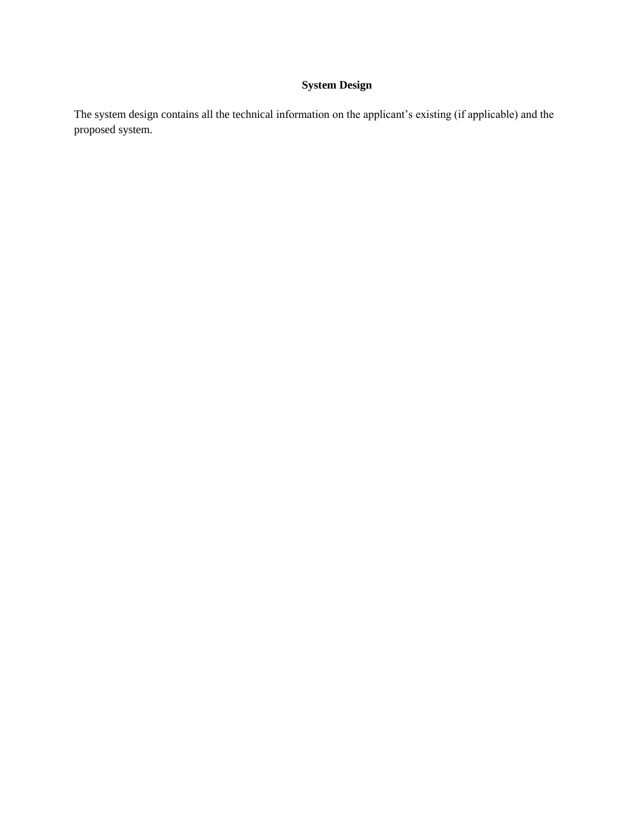## **System Design**

The system design contains all the technical information on the applicant's existing (if applicable) and the proposed system.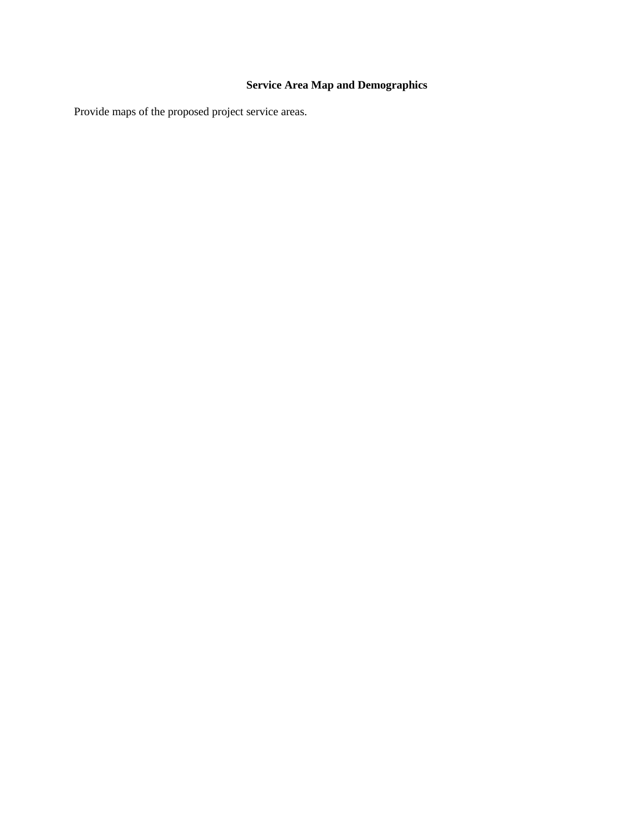# **Service Area Map and Demographics**

Provide maps of the proposed project service areas.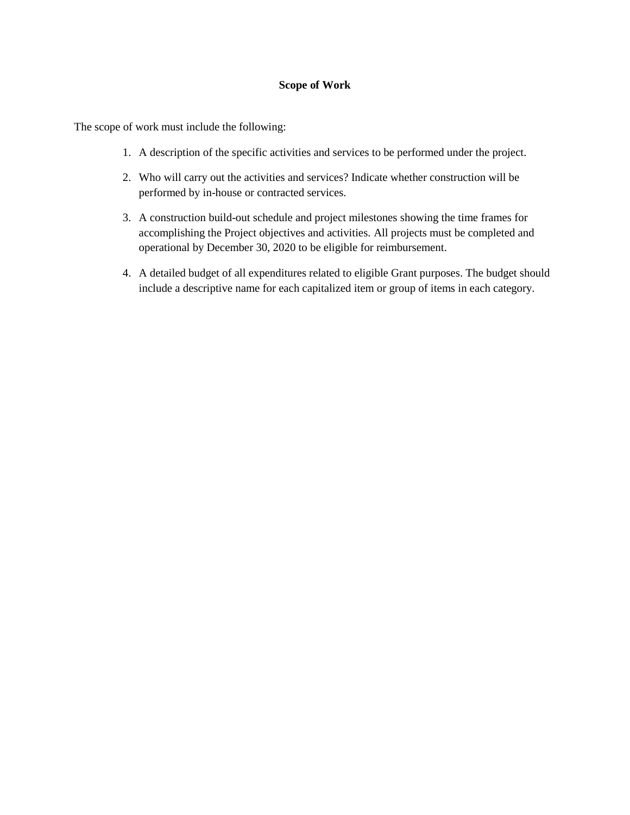### **Scope of Work**

The scope of work must include the following:

- 1. A description of the specific activities and services to be performed under the project.
- 2. Who will carry out the activities and services? Indicate whether construction will be performed by in-house or contracted services.
- 3. A construction build-out schedule and project milestones showing the time frames for accomplishing the Project objectives and activities. All projects must be completed and operational by December 30, 2020 to be eligible for reimbursement.
- 4. A detailed budget of all expenditures related to eligible Grant purposes. The budget should include a descriptive name for each capitalized item or group of items in each category.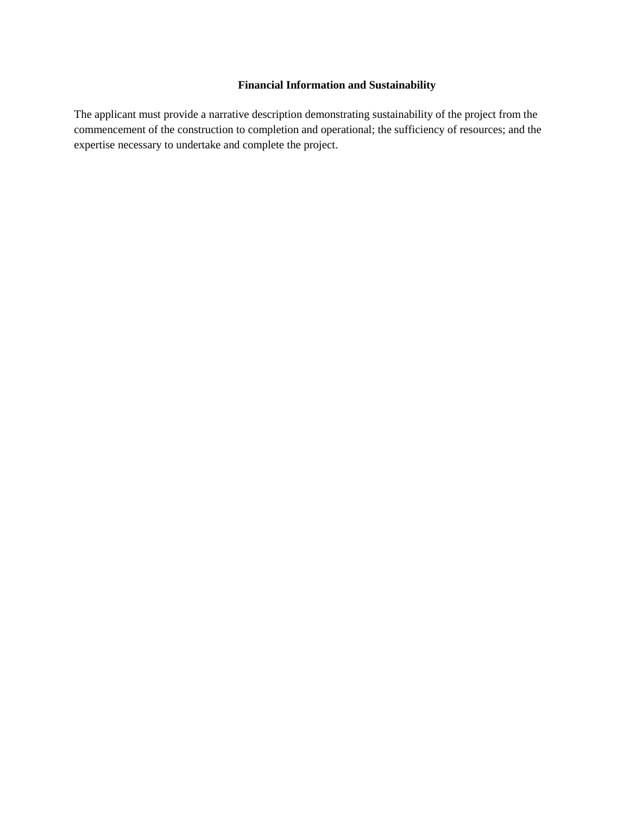### **Financial Information and Sustainability**

The applicant must provide a narrative description demonstrating sustainability of the project from the commencement of the construction to completion and operational; the sufficiency of resources; and the expertise necessary to undertake and complete the project.